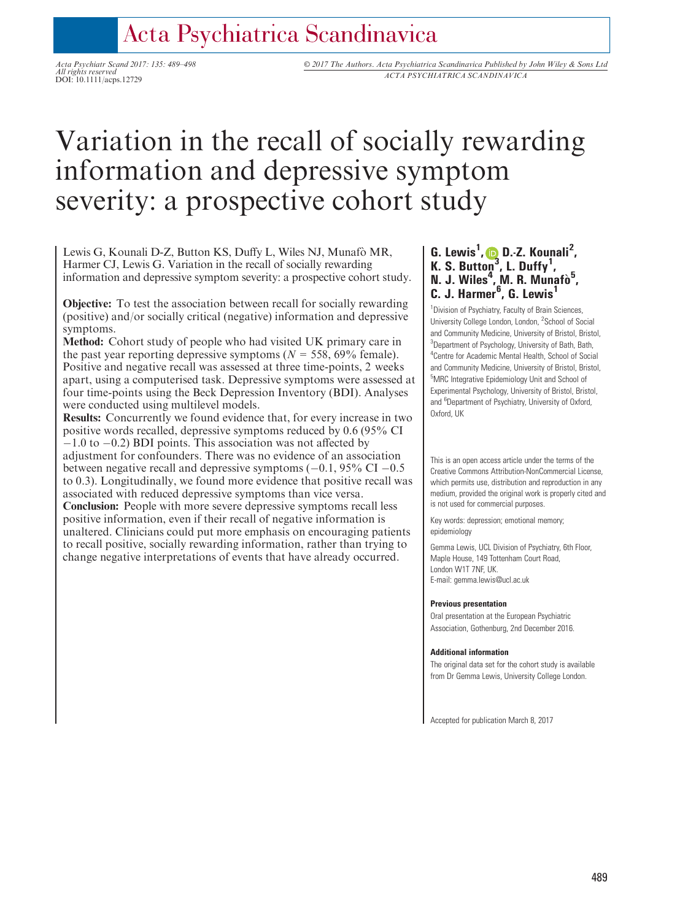# Acta Psychiatrica Scandinavica

All rights reserved

Acta Psychiatr Scand 2017: 135: 489–498 © 2017 The Authors. Acta Psychiatrica Scandinavica Published by John Wiley & Sons Ltd All rights reserved<br>DOI: 10.1111/acps.12729 *ACTA PSYCHIATRICA SCANDINAVICA* 

# Variation in the recall of socially rewarding information and depressive symptom severity: a prospective cohort study

Lewis G, Kounali D-Z, Button KS, Duffy L, Wiles NJ, Munafo MR, Harmer CJ, Lewis G. Variation in the recall of socially rewarding information and depressive symptom severity: a prospective cohort study.

Objective: To test the association between recall for socially rewarding (positive) and/or socially critical (negative) information and depressive symptoms.

Method: Cohort study of people who had visited UK primary care in the past year reporting depressive symptoms ( $N = 558, 69\%$  female). Positive and negative recall was assessed at three time-points, 2 weeks apart, using a computerised task. Depressive symptoms were assessed at four time-points using the Beck Depression Inventory (BDI). Analyses were conducted using multilevel models.

Results: Concurrently we found evidence that, for every increase in two positive words recalled, depressive symptoms reduced by 0.6 (95% CI  $-1.0$  to  $-0.2$ ) BDI points. This association was not affected by adjustment for confounders. There was no evidence of an association between negative recall and depressive symptoms  $(-0.1, 95\% \text{ CI} - 0.5$ to 0.3). Longitudinally, we found more evidence that positive recall was associated with reduced depressive symptoms than vice versa.

Conclusion: People with more severe depressive symptoms recall less positive information, even if their recall of negative information is unaltered. Clinicians could put more emphasis on encouraging patients to recall positive, socially rewarding information, rather than trying to change negative interpretations of events that have already occurred.

# G. Lewis<sup>1</sup>,  $\bullet$  [D](http://orcid.org/0000-0001-6666-3681).-Z. Kounali<sup>2</sup>, K. S. Button<sup>[3](http://orcid.org/0000-0001-6666-3681)</sup>, L. Duffy<sup>1</sup>, N. J. Wiles<sup>4</sup>, M. R. Munafò<sup>5</sup>,<br>C. J. Harmer<sup>6</sup>, G. Lewis<sup>1</sup>

<sup>1</sup> Division of Psychiatry, Faculty of Brain Sciences, University College London, London, <sup>2</sup>School of Social and Community Medicine, University of Bristol, Bristol, <sup>3</sup>Department of Psychology, University of Bath, Bath, 4 Centre for Academic Mental Health, School of Social and Community Medicine, University of Bristol, Bristol, 5 MRC Integrative Epidemiology Unit and School of Experimental Psychology, University of Bristol, Bristol, and <sup>6</sup>Department of Psychiatry, University of Oxford, Oxford, UK

This is an open access article under the terms of the [Creative Commons Attribution-NonCommercial](http://creativecommons.org/licenses/by-nc/4.0/) License, which permits use, distribution and reproduction in any medium, provided the original work is properly cited and is not used for commercial purposes.

Key words: depression; emotional memory; epidemiology

Gemma Lewis, UCL Division of Psychiatry, 6th Floor, Maple House, 149 Tottenham Court Road, London W1T 7NF, UK. E-mail: gemma.lewis@ucl.ac.uk

#### Previous presentation

Oral presentation at the European Psychiatric Association, Gothenburg, 2nd December 2016.

#### Additional information

The original data set for the cohort study is available from Dr Gemma Lewis, University College London.

Accepted for publication March 8, 2017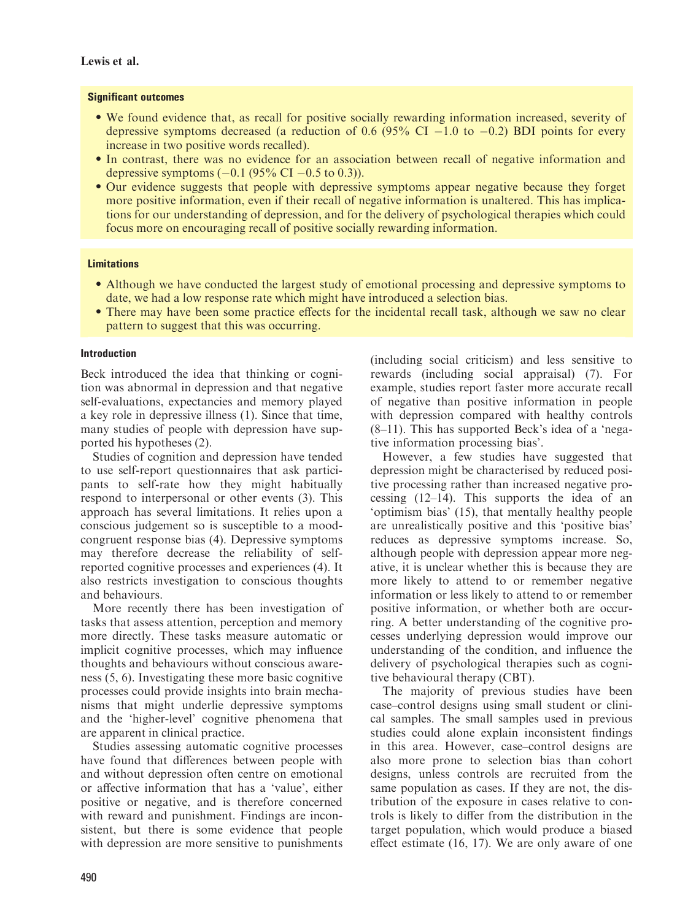#### Significant outcomes

- We found evidence that, as recall for positive socially rewarding information increased, severity of depressive symptoms decreased (a reduction of 0.6  $(95\% \text{ CI} - 1.0 \text{ to } -0.2)$  BDI points for every increase in two positive words recalled).
- In contrast, there was no evidence for an association between recall of negative information and depressive symptoms  $(-0.1 (95\% \text{ CI} - 0.5 \text{ to } 0.3))$ .
- Our evidence suggests that people with depressive symptoms appear negative because they forget more positive information, even if their recall of negative information is unaltered. This has implications for our understanding of depression, and for the delivery of psychological therapies which could focus more on encouraging recall of positive socially rewarding information.

# Limitations

- Although we have conducted the largest study of emotional processing and depressive symptoms to date, we had a low response rate which might have introduced a selection bias.
- There may have been some practice effects for the incidental recall task, although we saw no clear pattern to suggest that this was occurring.

#### Introduction

Beck introduced the idea that thinking or cognition was abnormal in depression and that negative self-evaluations, expectancies and memory played a key role in depressive illness (1). Since that time, many studies of people with depression have supported his hypotheses (2).

Studies of cognition and depression have tended to use self-report questionnaires that ask participants to self-rate how they might habitually respond to interpersonal or other events (3). This approach has several limitations. It relies upon a conscious judgement so is susceptible to a moodcongruent response bias (4). Depressive symptoms may therefore decrease the reliability of selfreported cognitive processes and experiences (4). It also restricts investigation to conscious thoughts and behaviours.

More recently there has been investigation of tasks that assess attention, perception and memory more directly. These tasks measure automatic or implicit cognitive processes, which may influence thoughts and behaviours without conscious awareness (5, 6). Investigating these more basic cognitive processes could provide insights into brain mechanisms that might underlie depressive symptoms and the 'higher-level' cognitive phenomena that are apparent in clinical practice.

Studies assessing automatic cognitive processes have found that differences between people with and without depression often centre on emotional or affective information that has a 'value', either positive or negative, and is therefore concerned with reward and punishment. Findings are inconsistent, but there is some evidence that people with depression are more sensitive to punishments (including social criticism) and less sensitive to rewards (including social appraisal) (7). For example, studies report faster more accurate recall of negative than positive information in people with depression compared with healthy controls (8–11). This has supported Beck's idea of a 'negative information processing bias'.

However, a few studies have suggested that depression might be characterised by reduced positive processing rather than increased negative processing (12–14). This supports the idea of an 'optimism bias' (15), that mentally healthy people are unrealistically positive and this 'positive bias' reduces as depressive symptoms increase. So, although people with depression appear more negative, it is unclear whether this is because they are more likely to attend to or remember negative information or less likely to attend to or remember positive information, or whether both are occurring. A better understanding of the cognitive processes underlying depression would improve our understanding of the condition, and influence the delivery of psychological therapies such as cognitive behavioural therapy (CBT).

The majority of previous studies have been case–control designs using small student or clinical samples. The small samples used in previous studies could alone explain inconsistent findings in this area. However, case–control designs are also more prone to selection bias than cohort designs, unless controls are recruited from the same population as cases. If they are not, the distribution of the exposure in cases relative to controls is likely to differ from the distribution in the target population, which would produce a biased effect estimate (16, 17). We are only aware of one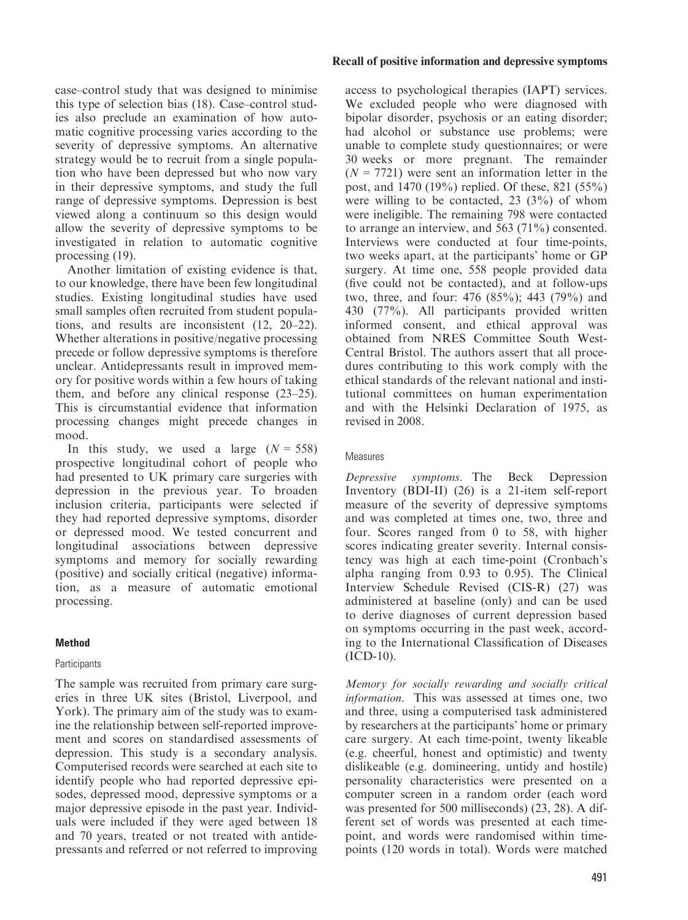case–control study that was designed to minimise this type of selection bias (18). Case–control studies also preclude an examination of how automatic cognitive processing varies according to the severity of depressive symptoms. An alternative strategy would be to recruit from a single population who have been depressed but who now vary in their depressive symptoms, and study the full range of depressive symptoms. Depression is best viewed along a continuum so this design would allow the severity of depressive symptoms to be investigated in relation to automatic cognitive processing (19).

Another limitation of existing evidence is that, to our knowledge, there have been few longitudinal studies. Existing longitudinal studies have used small samples often recruited from student populations, and results are inconsistent (12, 20–22). Whether alterations in positive/negative processing precede or follow depressive symptoms is therefore unclear. Antidepressants result in improved memory for positive words within a few hours of taking them, and before any clinical response (23–25). This is circumstantial evidence that information processing changes might precede changes in mood.

In this study, we used a large  $(N = 558)$ prospective longitudinal cohort of people who had presented to UK primary care surgeries with depression in the previous year. To broaden inclusion criteria, participants were selected if they had reported depressive symptoms, disorder or depressed mood. We tested concurrent and longitudinal associations between depressive symptoms and memory for socially rewarding (positive) and socially critical (negative) information, as a measure of automatic emotional processing.

# Method

# **Participants**

The sample was recruited from primary care surgeries in three UK sites (Bristol, Liverpool, and York). The primary aim of the study was to examine the relationship between self-reported improvement and scores on standardised assessments of depression. This study is a secondary analysis. Computerised records were searched at each site to identify people who had reported depressive episodes, depressed mood, depressive symptoms or a major depressive episode in the past year. Individuals were included if they were aged between 18 and 70 years, treated or not treated with antidepressants and referred or not referred to improving

#### Recall of positive information and depressive symptoms

access to psychological therapies (IAPT) services. We excluded people who were diagnosed with bipolar disorder, psychosis or an eating disorder; had alcohol or substance use problems; were unable to complete study questionnaires; or were 30 weeks or more pregnant. The remainder  $(N = 7721)$  were sent an information letter in the post, and 1470 (19%) replied. Of these, 821 (55%) were willing to be contacted,  $23$   $(3%)$  of whom were ineligible. The remaining 798 were contacted to arrange an interview, and 563 (71%) consented. Interviews were conducted at four time-points, two weeks apart, at the participants' home or GP surgery. At time one, 558 people provided data (five could not be contacted), and at follow-ups two, three, and four: 476 (85%); 443 (79%) and 430 (77%). All participants provided written informed consent, and ethical approval was obtained from NRES Committee South West-Central Bristol. The authors assert that all procedures contributing to this work comply with the ethical standards of the relevant national and institutional committees on human experimentation and with the Helsinki Declaration of 1975, as revised in 2008.

#### **Measures**

Depressive symptoms. The Beck Depression Inventory (BDI-II) (26) is a 21-item self-report measure of the severity of depressive symptoms and was completed at times one, two, three and four. Scores ranged from 0 to 58, with higher scores indicating greater severity. Internal consistency was high at each time-point (Cronbach's alpha ranging from 0.93 to 0.95). The Clinical Interview Schedule Revised (CIS-R) (27) was administered at baseline (only) and can be used to derive diagnoses of current depression based on symptoms occurring in the past week, according to the International Classification of Diseases (ICD-10).

Memory for socially rewarding and socially critical information. This was assessed at times one, two and three, using a computerised task administered by researchers at the participants' home or primary care surgery. At each time-point, twenty likeable (e.g. cheerful, honest and optimistic) and twenty dislikeable (e.g. domineering, untidy and hostile) personality characteristics were presented on a computer screen in a random order (each word was presented for 500 milliseconds) (23, 28). A different set of words was presented at each timepoint, and words were randomised within timepoints (120 words in total). Words were matched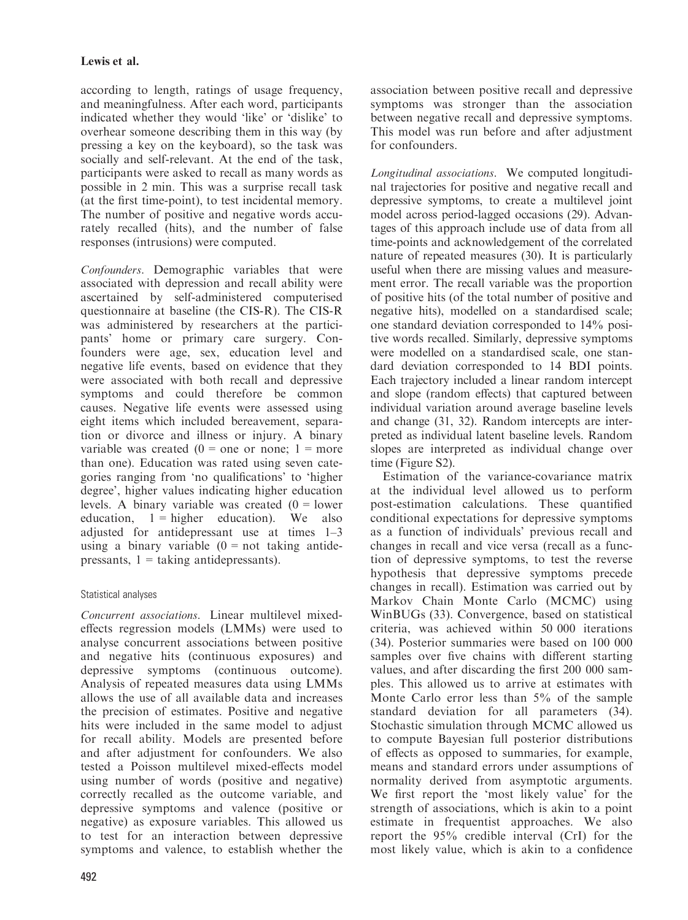according to length, ratings of usage frequency, and meaningfulness. After each word, participants indicated whether they would 'like' or 'dislike' to overhear someone describing them in this way (by pressing a key on the keyboard), so the task was socially and self-relevant. At the end of the task, participants were asked to recall as many words as possible in 2 min. This was a surprise recall task (at the first time-point), to test incidental memory. The number of positive and negative words accurately recalled (hits), and the number of false responses (intrusions) were computed.

Confounders. Demographic variables that were associated with depression and recall ability were ascertained by self-administered computerised questionnaire at baseline (the CIS-R). The CIS-R was administered by researchers at the participants' home or primary care surgery. Confounders were age, sex, education level and negative life events, based on evidence that they were associated with both recall and depressive symptoms and could therefore be common causes. Negative life events were assessed using eight items which included bereavement, separation or divorce and illness or injury. A binary variable was created  $(0 = one or none; 1 = more$ than one). Education was rated using seven categories ranging from 'no qualifications' to 'higher degree', higher values indicating higher education levels. A binary variable was created  $(0 =$  lower education,  $1 =$  higher education). We also adjusted for antidepressant use at times 1–3 using a binary variable  $(0 = not taking antide$ pressants,  $1 =$  taking antidepressants).

# Statistical analyses

Concurrent associations. Linear multilevel mixedeffects regression models (LMMs) were used to analyse concurrent associations between positive and negative hits (continuous exposures) and depressive symptoms (continuous outcome). Analysis of repeated measures data using LMMs allows the use of all available data and increases the precision of estimates. Positive and negative hits were included in the same model to adjust for recall ability. Models are presented before and after adjustment for confounders. We also tested a Poisson multilevel mixed-effects model using number of words (positive and negative) correctly recalled as the outcome variable, and depressive symptoms and valence (positive or negative) as exposure variables. This allowed us to test for an interaction between depressive symptoms and valence, to establish whether the association between positive recall and depressive symptoms was stronger than the association between negative recall and depressive symptoms. This model was run before and after adjustment for confounders.

Longitudinal associations. We computed longitudinal trajectories for positive and negative recall and depressive symptoms, to create a multilevel joint model across period-lagged occasions (29). Advantages of this approach include use of data from all time-points and acknowledgement of the correlated nature of repeated measures (30). It is particularly useful when there are missing values and measurement error. The recall variable was the proportion of positive hits (of the total number of positive and negative hits), modelled on a standardised scale; one standard deviation corresponded to 14% positive words recalled. Similarly, depressive symptoms were modelled on a standardised scale, one standard deviation corresponded to 14 BDI points. Each trajectory included a linear random intercept and slope (random effects) that captured between individual variation around average baseline levels and change (31, 32). Random intercepts are interpreted as individual latent baseline levels. Random slopes are interpreted as individual change over time (Figure S2).

Estimation of the variance-covariance matrix at the individual level allowed us to perform post-estimation calculations. These quantified conditional expectations for depressive symptoms as a function of individuals' previous recall and changes in recall and vice versa (recall as a function of depressive symptoms, to test the reverse hypothesis that depressive symptoms precede changes in recall). Estimation was carried out by Markov Chain Monte Carlo (MCMC) using WinBUGs (33). Convergence, based on statistical criteria, was achieved within 50 000 iterations (34). Posterior summaries were based on 100 000 samples over five chains with different starting values, and after discarding the first 200 000 samples. This allowed us to arrive at estimates with Monte Carlo error less than 5% of the sample standard deviation for all parameters (34). Stochastic simulation through MCMC allowed us to compute Bayesian full posterior distributions of effects as opposed to summaries, for example, means and standard errors under assumptions of normality derived from asymptotic arguments. We first report the 'most likely value' for the strength of associations, which is akin to a point estimate in frequentist approaches. We also report the 95% credible interval (CrI) for the most likely value, which is akin to a confidence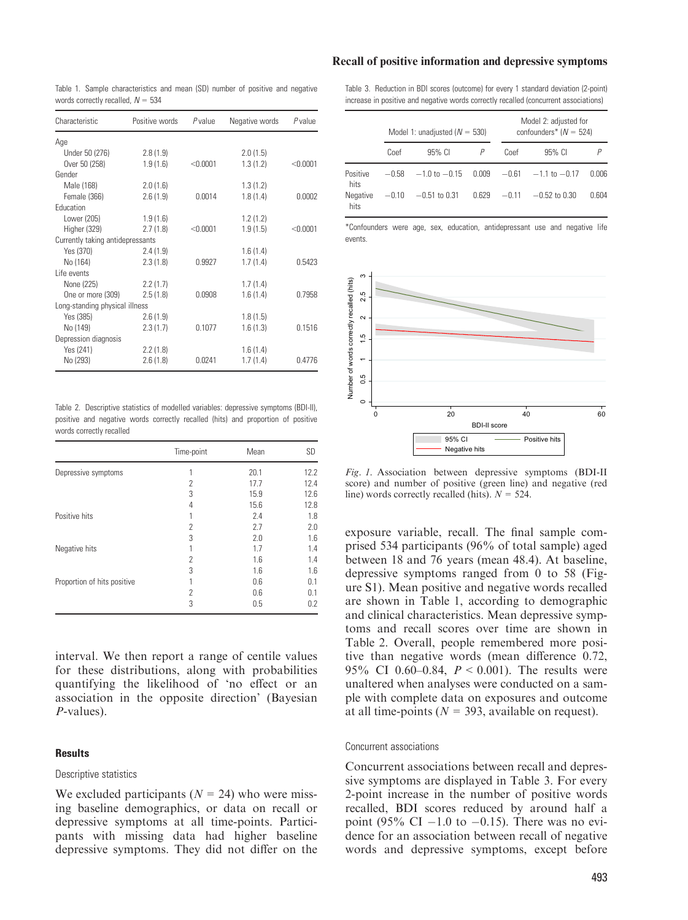#### Recall of positive information and depressive symptoms

Table 1. Sample characteristics and mean (SD) number of positive and negative words correctly recalled,  $N = 534$ 

| Characteristic                   | Positive words | P value    | Negative words | Pvalue   |  |
|----------------------------------|----------------|------------|----------------|----------|--|
| Age                              |                |            |                |          |  |
| Under 50 (276)                   | 2.8(1.9)       |            | 2.0(1.5)       |          |  |
| Over 50 (258)                    | 1.9(1.6)       | $<$ 0.0001 | 1.3(1.2)       | < 0.0001 |  |
| Gender                           |                |            |                |          |  |
| Male (168)                       | 2.0(1.6)       |            | 1.3(1.2)       |          |  |
| Female (366)                     | 2.6(1.9)       | 0.0014     | 1.8(1.4)       | 0.0002   |  |
| Education                        |                |            |                |          |  |
| Lower (205)                      | 1.9(1.6)       |            | 1.2(1.2)       |          |  |
| Higher (329)                     | 2.7(1.8)       | < 0.0001   | 1.9(1.5)       | < 0.0001 |  |
| Currently taking antidepressants |                |            |                |          |  |
| Yes (370)                        | 2.4(1.9)       |            | 1.6(1.4)       |          |  |
| No (164)                         | 2.3(1.8)       | 0.9927     | 1.7(1.4)       | 0.5423   |  |
| Life events                      |                |            |                |          |  |
| None (225)                       | 2.2(1.7)       |            | 1.7(1.4)       |          |  |
| One or more (309)                | 2.5(1.8)       | 0.0908     | 1.6(1.4)       | 0.7958   |  |
| Long-standing physical illness   |                |            |                |          |  |
| Yes (385)                        | 2.6(1.9)       |            | 1.8(1.5)       |          |  |
| No (149)                         | 2.3(1.7)       | 0.1077     | 1.6(1.3)       | 0.1516   |  |
| Depression diagnosis             |                |            |                |          |  |
| Yes (241)                        | 2.2(1.8)       |            | 1.6(1.4)       |          |  |
| No (293)                         | 2.6(1.8)       | 0.0241     | 1.7(1.4)       | 0.4776   |  |

Table 2. Descriptive statistics of modelled variables: depressive symptoms (BDI-II), positive and negative words correctly recalled (hits) and proportion of positive words correctly recalled

|                             | Time-point               | Mean | <b>SD</b> |
|-----------------------------|--------------------------|------|-----------|
| Depressive symptoms         |                          | 20.1 | 12.2      |
|                             | $\overline{\phantom{a}}$ | 17.7 | 12.4      |
|                             | 3                        | 15.9 | 12.6      |
|                             | 4                        | 15.6 | 12.8      |
| Positive hits               |                          | 2.4  | 1.8       |
|                             | 2                        | 2.7  | 2.0       |
|                             | 3                        | 2.0  | 1.6       |
| Negative hits               |                          | 1.7  | 1.4       |
|                             | 2                        | 1.6  | 1.4       |
|                             | 3                        | 1.6  | 1.6       |
| Proportion of hits positive |                          | 0.6  | 0.1       |
|                             | 2                        | 0.6  | 0.1       |
|                             | 3                        | 0.5  | 0.2       |

interval. We then report a range of centile values for these distributions, along with probabilities quantifying the likelihood of 'no effect or an association in the opposite direction' (Bayesian P-values).

#### **Results**

#### Descriptive statistics

We excluded participants ( $N = 24$ ) who were missing baseline demographics, or data on recall or depressive symptoms at all time-points. Participants with missing data had higher baseline depressive symptoms. They did not differ on the Table 3. Reduction in BDI scores (outcome) for every 1 standard deviation (2-point) increase in positive and negative words correctly recalled (concurrent associations)

|                  |         | Model 1: unadjusted ( $N = 530$ ) |       | Model 2: adjusted for<br>confounders* $(N = 524)$ |                         |       |  |
|------------------|---------|-----------------------------------|-------|---------------------------------------------------|-------------------------|-------|--|
|                  | Coef    | 95% CI                            |       | Coef                                              | 95% CI                  |       |  |
| Positive<br>hits | $-0.58$ | $-1.0$ to $-0.15$                 | 0.009 |                                                   | $-0.61 -1.1$ to $-0.17$ | 0.006 |  |
| Negative<br>hits | $-0.10$ | $-0.51$ to $0.31$                 | 0.629 | $-0.11$                                           | $-0.52$ to $0.30$       | 0.604 |  |

\*Confounders were age, sex, education, antidepressant use and negative life events.



Fig. 1. Association between depressive symptoms (BDI-II score) and number of positive (green line) and negative (red line) words correctly recalled (hits).  $N = 524$ .

exposure variable, recall. The final sample comprised 534 participants (96% of total sample) aged between 18 and 76 years (mean 48.4). At baseline, depressive symptoms ranged from 0 to 58 (Figure S1). Mean positive and negative words recalled are shown in Table 1, according to demographic and clinical characteristics. Mean depressive symptoms and recall scores over time are shown in Table 2. Overall, people remembered more positive than negative words (mean difference 0.72, 95% CI 0.60–0.84,  $P < 0.001$ ). The results were unaltered when analyses were conducted on a sample with complete data on exposures and outcome at all time-points ( $N = 393$ , available on request).

#### Concurrent associations

Concurrent associations between recall and depressive symptoms are displayed in Table 3. For every 2-point increase in the number of positive words recalled, BDI scores reduced by around half a point (95% CI  $-1.0$  to  $-0.15$ ). There was no evidence for an association between recall of negative words and depressive symptoms, except before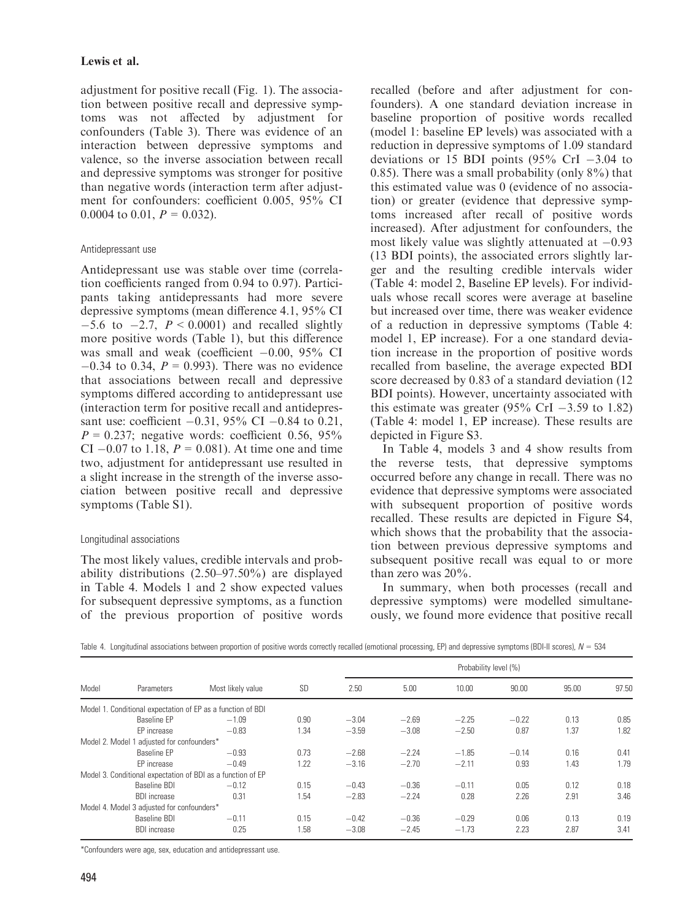adjustment for positive recall (Fig. 1). The association between positive recall and depressive symptoms was not affected by adjustment for confounders (Table 3). There was evidence of an interaction between depressive symptoms and valence, so the inverse association between recall and depressive symptoms was stronger for positive than negative words (interaction term after adjustment for confounders: coefficient 0.005, 95% CI 0.0004 to 0.01,  $P = 0.032$ ).

# Antidepressant use

Antidepressant use was stable over time (correlation coefficients ranged from 0.94 to 0.97). Participants taking antidepressants had more severe depressive symptoms (mean difference 4.1, 95% CI  $-5.6$  to  $-2.7$ ,  $P < 0.0001$ ) and recalled slightly more positive words (Table 1), but this difference was small and weak (coefficient  $-0.00$ , 95% CI  $-0.34$  to 0.34,  $P = 0.993$ ). There was no evidence that associations between recall and depressive symptoms differed according to antidepressant use (interaction term for positive recall and antidepressant use: coefficient  $-0.31$ , 95% CI  $-0.84$  to 0.21,  $P = 0.237$ ; negative words: coefficient 0.56, 95% CI  $-0.07$  to 1.18,  $P = 0.081$ ). At time one and time two, adjustment for antidepressant use resulted in a slight increase in the strength of the inverse association between positive recall and depressive symptoms (Table S1).

# Longitudinal associations

The most likely values, credible intervals and probability distributions (2.50–97.50%) are displayed in Table 4. Models 1 and 2 show expected values for subsequent depressive symptoms, as a function of the previous proportion of positive words recalled (before and after adjustment for confounders). A one standard deviation increase in baseline proportion of positive words recalled (model 1: baseline EP levels) was associated with a reduction in depressive symptoms of 1.09 standard deviations or 15 BDI points  $(95\% \text{ CrI} - 3.04 \text{ to}$ 0.85). There was a small probability (only  $8\%$ ) that this estimated value was 0 (evidence of no association) or greater (evidence that depressive symptoms increased after recall of positive words increased). After adjustment for confounders, the most likely value was slightly attenuated at  $-0.93$ (13 BDI points), the associated errors slightly larger and the resulting credible intervals wider (Table 4: model 2, Baseline EP levels). For individuals whose recall scores were average at baseline but increased over time, there was weaker evidence of a reduction in depressive symptoms (Table 4: model 1, EP increase). For a one standard deviation increase in the proportion of positive words recalled from baseline, the average expected BDI score decreased by 0.83 of a standard deviation (12 BDI points). However, uncertainty associated with this estimate was greater (95% CrI  $-3.59$  to 1.82) (Table 4: model 1, EP increase). These results are depicted in Figure S3.

In Table 4, models 3 and 4 show results from the reverse tests, that depressive symptoms occurred before any change in recall. There was no evidence that depressive symptoms were associated with subsequent proportion of positive words recalled. These results are depicted in Figure S4, which shows that the probability that the association between previous depressive symptoms and subsequent positive recall was equal to or more than zero was 20%.

In summary, when both processes (recall and depressive symptoms) were modelled simultaneously, we found more evidence that positive recall

|  |  |  |  |  | Table 4. Longitudinal associations between proportion of positive words correctly recalled (emotional processing, EP) and depressive symptoms (BDI-II scores), $N = 534$ |  |  |  |  |  |  |
|--|--|--|--|--|--------------------------------------------------------------------------------------------------------------------------------------------------------------------------|--|--|--|--|--|--|
|--|--|--|--|--|--------------------------------------------------------------------------------------------------------------------------------------------------------------------------|--|--|--|--|--|--|

|       |                                                             | Most likely value | <b>SD</b> | Probability level (%) |         |         |         |       |       |
|-------|-------------------------------------------------------------|-------------------|-----------|-----------------------|---------|---------|---------|-------|-------|
| Model | Parameters                                                  |                   |           | 2.50                  | 5.00    | 10.00   | 90.00   | 95.00 | 97.50 |
|       | Model 1. Conditional expectation of EP as a function of BDI |                   |           |                       |         |         |         |       |       |
|       | Baseline EP                                                 | $-1.09$           | 0.90      | $-3.04$               | $-2.69$ | $-2.25$ | $-0.22$ | 0.13  | 0.85  |
|       | EP increase                                                 | $-0.83$           | 1.34      | $-3.59$               | $-3.08$ | $-2.50$ | 0.87    | 1.37  | 1.82  |
|       | Model 2. Model 1 adjusted for confounders*                  |                   |           |                       |         |         |         |       |       |
|       | Baseline EP                                                 | $-0.93$           | 0.73      | $-2.68$               | $-2.24$ | $-1.85$ | $-0.14$ | 0.16  | 0.41  |
|       | EP increase                                                 | $-0.49$           | 1.22      | $-3.16$               | $-2.70$ | $-2.11$ | 0.93    | 1.43  | 1.79  |
|       | Model 3. Conditional expectation of BDI as a function of EP |                   |           |                       |         |         |         |       |       |
|       | Baseline BDI                                                | $-0.12$           | 0.15      | $-0.43$               | $-0.36$ | $-0.11$ | 0.05    | 0.12  | 0.18  |
|       | <b>BDI</b> increase                                         | 0.31              | 1.54      | $-2.83$               | $-2.24$ | 0.28    | 2.26    | 2.91  | 3.46  |
|       | Model 4. Model 3 adjusted for confounders*                  |                   |           |                       |         |         |         |       |       |
|       | Baseline BDI                                                | $-0.11$           | 0.15      | $-0.42$               | $-0.36$ | $-0.29$ | 0.06    | 0.13  | 0.19  |
|       | <b>BDI</b> increase                                         | 0.25              | 1.58      | $-3.08$               | $-2.45$ | $-1.73$ | 2.23    | 2.87  | 3.41  |

\*Confounders were age, sex, education and antidepressant use.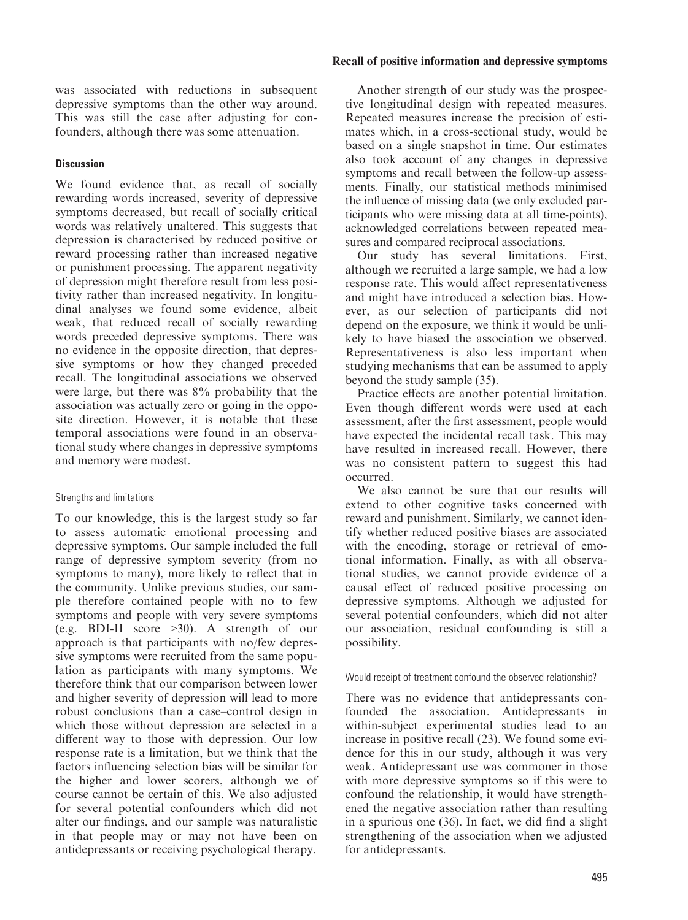was associated with reductions in subsequent depressive symptoms than the other way around. This was still the case after adjusting for confounders, although there was some attenuation.

#### **Discussion**

We found evidence that, as recall of socially rewarding words increased, severity of depressive symptoms decreased, but recall of socially critical words was relatively unaltered. This suggests that depression is characterised by reduced positive or reward processing rather than increased negative or punishment processing. The apparent negativity of depression might therefore result from less positivity rather than increased negativity. In longitudinal analyses we found some evidence, albeit weak, that reduced recall of socially rewarding words preceded depressive symptoms. There was no evidence in the opposite direction, that depressive symptoms or how they changed preceded recall. The longitudinal associations we observed were large, but there was 8% probability that the association was actually zero or going in the opposite direction. However, it is notable that these temporal associations were found in an observational study where changes in depressive symptoms and memory were modest.

#### Strengths and limitations

To our knowledge, this is the largest study so far to assess automatic emotional processing and depressive symptoms. Our sample included the full range of depressive symptom severity (from no symptoms to many), more likely to reflect that in the community. Unlike previous studies, our sample therefore contained people with no to few symptoms and people with very severe symptoms (e.g. BDI-II score >30). A strength of our approach is that participants with no/few depressive symptoms were recruited from the same population as participants with many symptoms. We therefore think that our comparison between lower and higher severity of depression will lead to more robust conclusions than a case–control design in which those without depression are selected in a different way to those with depression. Our low response rate is a limitation, but we think that the factors influencing selection bias will be similar for the higher and lower scorers, although we of course cannot be certain of this. We also adjusted for several potential confounders which did not alter our findings, and our sample was naturalistic in that people may or may not have been on antidepressants or receiving psychological therapy.

#### Recall of positive information and depressive symptoms

Another strength of our study was the prospective longitudinal design with repeated measures. Repeated measures increase the precision of estimates which, in a cross-sectional study, would be based on a single snapshot in time. Our estimates also took account of any changes in depressive symptoms and recall between the follow-up assessments. Finally, our statistical methods minimised the influence of missing data (we only excluded participants who were missing data at all time-points), acknowledged correlations between repeated measures and compared reciprocal associations.

Our study has several limitations. First, although we recruited a large sample, we had a low response rate. This would affect representativeness and might have introduced a selection bias. However, as our selection of participants did not depend on the exposure, we think it would be unlikely to have biased the association we observed. Representativeness is also less important when studying mechanisms that can be assumed to apply beyond the study sample (35).

Practice effects are another potential limitation. Even though different words were used at each assessment, after the first assessment, people would have expected the incidental recall task. This may have resulted in increased recall. However, there was no consistent pattern to suggest this had occurred.

We also cannot be sure that our results will extend to other cognitive tasks concerned with reward and punishment. Similarly, we cannot identify whether reduced positive biases are associated with the encoding, storage or retrieval of emotional information. Finally, as with all observational studies, we cannot provide evidence of a causal effect of reduced positive processing on depressive symptoms. Although we adjusted for several potential confounders, which did not alter our association, residual confounding is still a possibility.

#### Would receipt of treatment confound the observed relationship?

There was no evidence that antidepressants confounded the association. Antidepressants in within-subject experimental studies lead to an increase in positive recall (23). We found some evidence for this in our study, although it was very weak. Antidepressant use was commoner in those with more depressive symptoms so if this were to confound the relationship, it would have strengthened the negative association rather than resulting in a spurious one (36). In fact, we did find a slight strengthening of the association when we adjusted for antidepressants.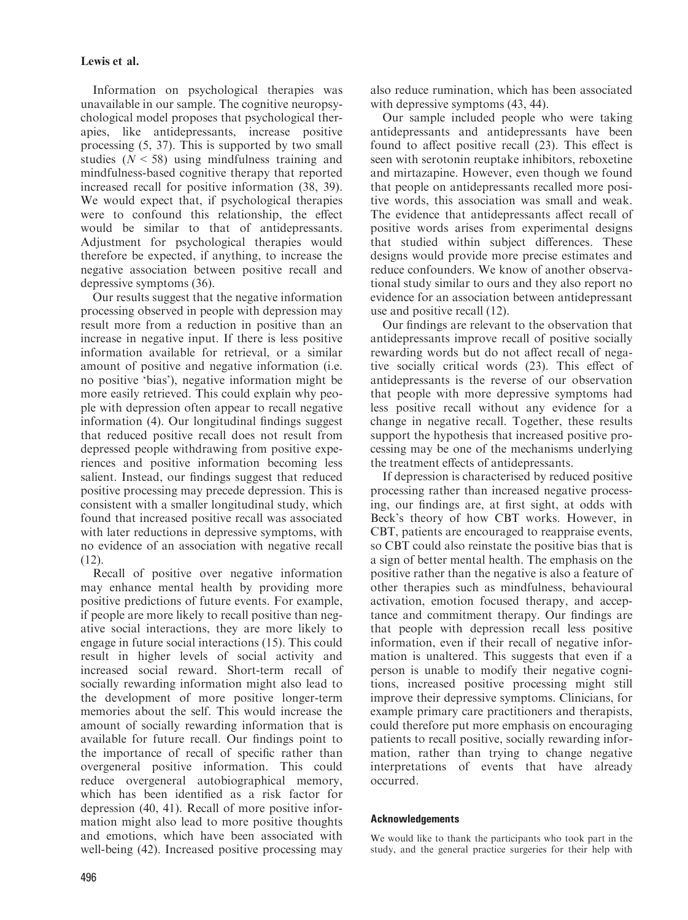Information on psychological therapies was unavailable in our sample. The cognitive neuropsychological model proposes that psychological therapies, like antidepressants, increase positive processing (5, 37). This is supported by two small studies  $(N < 58)$  using mindfulness training and mindfulness-based cognitive therapy that reported increased recall for positive information (38, 39). We would expect that, if psychological therapies were to confound this relationship, the effect would be similar to that of antidepressants. Adjustment for psychological therapies would therefore be expected, if anything, to increase the negative association between positive recall and depressive symptoms (36).

Our results suggest that the negative information processing observed in people with depression may result more from a reduction in positive than an increase in negative input. If there is less positive information available for retrieval, or a similar amount of positive and negative information (i.e. no positive 'bias'), negative information might be more easily retrieved. This could explain why people with depression often appear to recall negative information (4). Our longitudinal findings suggest that reduced positive recall does not result from depressed people withdrawing from positive experiences and positive information becoming less salient. Instead, our findings suggest that reduced positive processing may precede depression. This is consistent with a smaller longitudinal study, which found that increased positive recall was associated with later reductions in depressive symptoms, with no evidence of an association with negative recall (12).

Recall of positive over negative information may enhance mental health by providing more positive predictions of future events. For example, if people are more likely to recall positive than negative social interactions, they are more likely to engage in future social interactions (15). This could result in higher levels of social activity and increased social reward. Short-term recall of socially rewarding information might also lead to the development of more positive longer-term memories about the self. This would increase the amount of socially rewarding information that is available for future recall. Our findings point to the importance of recall of specific rather than overgeneral positive information. This could reduce overgeneral autobiographical memory, which has been identified as a risk factor for depression (40, 41). Recall of more positive information might also lead to more positive thoughts and emotions, which have been associated with well-being (42). Increased positive processing may also reduce rumination, which has been associated with depressive symptoms  $(43, 44)$ .

Our sample included people who were taking antidepressants and antidepressants have been found to affect positive recall (23). This effect is seen with serotonin reuptake inhibitors, reboxetine and mirtazapine. However, even though we found that people on antidepressants recalled more positive words, this association was small and weak. The evidence that antidepressants affect recall of positive words arises from experimental designs that studied within subject differences. These designs would provide more precise estimates and reduce confounders. We know of another observational study similar to ours and they also report no evidence for an association between antidepressant use and positive recall (12).

Our findings are relevant to the observation that antidepressants improve recall of positive socially rewarding words but do not affect recall of negative socially critical words (23). This effect of antidepressants is the reverse of our observation that people with more depressive symptoms had less positive recall without any evidence for a change in negative recall. Together, these results support the hypothesis that increased positive processing may be one of the mechanisms underlying the treatment effects of antidepressants.

If depression is characterised by reduced positive processing rather than increased negative processing, our findings are, at first sight, at odds with Beck's theory of how CBT works. However, in CBT, patients are encouraged to reappraise events, so CBT could also reinstate the positive bias that is a sign of better mental health. The emphasis on the positive rather than the negative is also a feature of other therapies such as mindfulness, behavioural activation, emotion focused therapy, and acceptance and commitment therapy. Our findings are that people with depression recall less positive information, even if their recall of negative information is unaltered. This suggests that even if a person is unable to modify their negative cognitions, increased positive processing might still improve their depressive symptoms. Clinicians, for example primary care practitioners and therapists, could therefore put more emphasis on encouraging patients to recall positive, socially rewarding information, rather than trying to change negative interpretations of events that have already occurred.

# Acknowledgements

We would like to thank the participants who took part in the study, and the general practice surgeries for their help with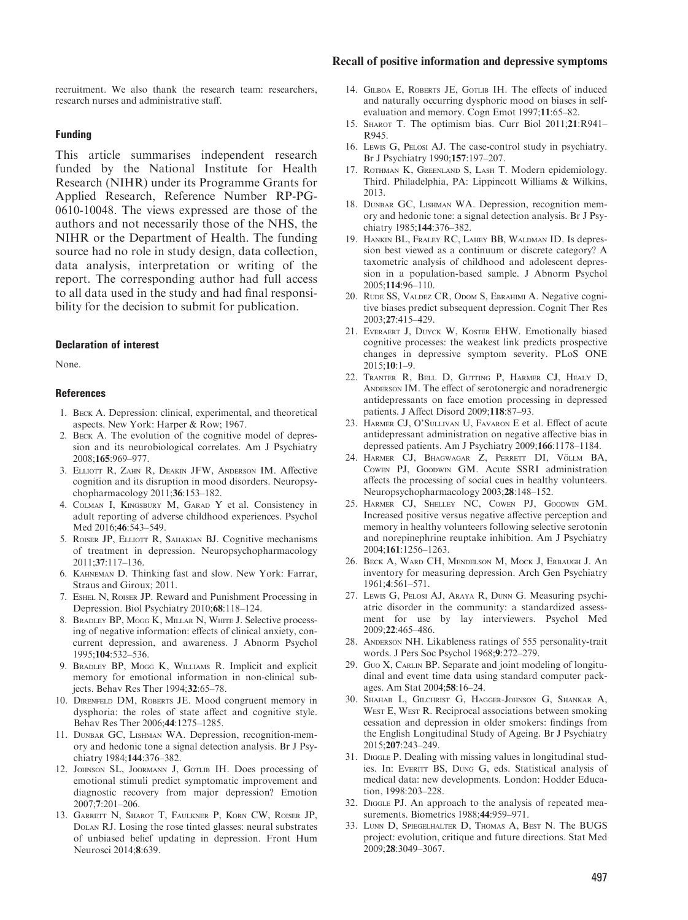#### Recall of positive information and depressive symptoms

recruitment. We also thank the research team: researchers, research nurses and administrative staff.

#### Funding

This article summarises independent research funded by the National Institute for Health Research (NIHR) under its Programme Grants for Applied Research, Reference Number RP-PG-0610-10048. The views expressed are those of the authors and not necessarily those of the NHS, the NIHR or the Department of Health. The funding source had no role in study design, data collection, data analysis, interpretation or writing of the report. The corresponding author had full access to all data used in the study and had final responsibility for the decision to submit for publication.

#### Declaration of interest

None.

#### References

- 1. Beck A. Depression: clinical, experimental, and theoretical aspects. New York: Harper & Row; 1967.
- 2. Beck A. The evolution of the cognitive model of depression and its neurobiological correlates. Am J Psychiatry 2008;165:969–977.
- 3. Elliott R, Zahn R, Deakin JFW, Anderson IM. Affective cognition and its disruption in mood disorders. Neuropsychopharmacology 2011;36:153–182.
- 4. Colman I, Kingsbury M, Garad Y et al. Consistency in adult reporting of adverse childhood experiences. Psychol Med 2016;46:543–549.
- 5. Roiser JP, Elliott R, Sahakian BJ. Cognitive mechanisms of treatment in depression. Neuropsychopharmacology 2011;37:117–136.
- 6. Kahneman D. Thinking fast and slow. New York: Farrar, Straus and Giroux; 2011.
- 7. Eshel N, Roiser JP. Reward and Punishment Processing in Depression. Biol Psychiatry 2010;68:118–124.
- 8. Bradley BP, Mogg K, Millar N, White J. Selective processing of negative information: effects of clinical anxiety, concurrent depression, and awareness. J Abnorm Psychol 1995;104:532–536.
- 9. Bradley BP, Mogg K, Williams R. Implicit and explicit memory for emotional information in non-clinical subjects. Behav Res Ther 1994;32:65–78.
- 10. Direnfeld DM, Roberts JE. Mood congruent memory in dysphoria: the roles of state affect and cognitive style. Behav Res Ther 2006;44:1275–1285.
- 11. DUNBAR GC, LISHMAN WA. Depression, recognition-memory and hedonic tone a signal detection analysis. Br J Psychiatry 1984;144:376–382.
- 12. Johnson SL, Joormann J, Gotlib IH. Does processing of emotional stimuli predict symptomatic improvement and diagnostic recovery from major depression? Emotion 2007;7:201–206.
- 13. Garrett N, Sharot T, Faulkner P, Korn CW, Roiser JP, Dolan RJ. Losing the rose tinted glasses: neural substrates of unbiased belief updating in depression. Front Hum Neurosci 2014;8:639.
- 14. GILBOA E, ROBERTS JE, GOTLIB IH. The effects of induced and naturally occurring dysphoric mood on biases in selfevaluation and memory. Cogn Emot 1997;11:65–82.
- 15. Sharot T. The optimism bias. Curr Biol 2011;21:R941– R945.
- 16. Lewis G, Pelosi AJ. The case-control study in psychiatry. Br J Psychiatry 1990;157:197–207.
- 17. Rothman K, Greenland S, Lash T. Modern epidemiology. Third. Philadelphia, PA: Lippincott Williams & Wilkins, 2013.
- 18. DUNBAR GC, LISHMAN WA. Depression, recognition memory and hedonic tone: a signal detection analysis. Br J Psychiatry 1985;144:376–382.
- 19. Hankin BL, Fraley RC, Lahey BB, Waldman ID. Is depression best viewed as a continuum or discrete category? A taxometric analysis of childhood and adolescent depression in a population-based sample. J Abnorm Psychol 2005;114:96–110.
- 20. Rude SS, Valdez CR, Odom S, Ebrahimi A. Negative cognitive biases predict subsequent depression. Cognit Ther Res 2003;27:415–429.
- 21. Everaert J, Duyck W, Koster EHW. Emotionally biased cognitive processes: the weakest link predicts prospective changes in depressive symptom severity. PLoS ONE 2015;10:1–9.
- 22. Tranter R, Bell D, Gutting P, Harmer CJ, Healy D, ANDERSON IM. The effect of serotonergic and noradrenergic antidepressants on face emotion processing in depressed patients. J Affect Disord 2009;118:87–93.
- 23. Harmer CJ, O'Sullivan U, Favaron E et al. Effect of acute antidepressant administration on negative affective bias in depressed patients. Am J Psychiatry 2009;166:1178–1184.
- 24. HARMER CJ, BHAGWAGAR Z, PERRETT DI, VÖLLM BA, Cowen PJ, Goodwin GM. Acute SSRI administration affects the processing of social cues in healthy volunteers. Neuropsychopharmacology 2003;28:148–152.
- 25. Harmer CJ, Shelley NC, Cowen PJ, Goodwin GM. Increased positive versus negative affective perception and memory in healthy volunteers following selective serotonin and norepinephrine reuptake inhibition. Am J Psychiatry 2004;161:1256–1263.
- 26. Beck A, Ward CH, Mendelson M, Mock J, Erbaugh J. An inventory for measuring depression. Arch Gen Psychiatry 1961;4:561–571.
- 27. Lewis G, Pelosi AJ, Araya R, Dunn G. Measuring psychiatric disorder in the community: a standardized assessment for use by lay interviewers. Psychol Med 2009;22:465–486.
- 28. Anderson NH. Likableness ratings of 555 personality-trait words. J Pers Soc Psychol 1968;9:272–279.
- 29. Guo X, CARLIN BP. Separate and joint modeling of longitudinal and event time data using standard computer packages. Am Stat 2004;58:16–24.
- 30. Shahab L, Gilchrist G, Hagger-Johnson G, Shankar A, WEST E, WEST R. Reciprocal associations between smoking cessation and depression in older smokers: findings from the English Longitudinal Study of Ageing. Br J Psychiatry 2015;207:243–249.
- 31. DIGGLE P. Dealing with missing values in longitudinal studies. In: Everitt BS, Dung G, eds. Statistical analysis of medical data: new developments. London: Hodder Education, 1998:203–228.
- 32. DIGGLE PJ. An approach to the analysis of repeated measurements. Biometrics 1988;44:959–971.
- 33. Lunn D, Spiegelhalter D, Thomas A, Best N. The BUGS project: evolution, critique and future directions. Stat Med 2009;28:3049–3067.